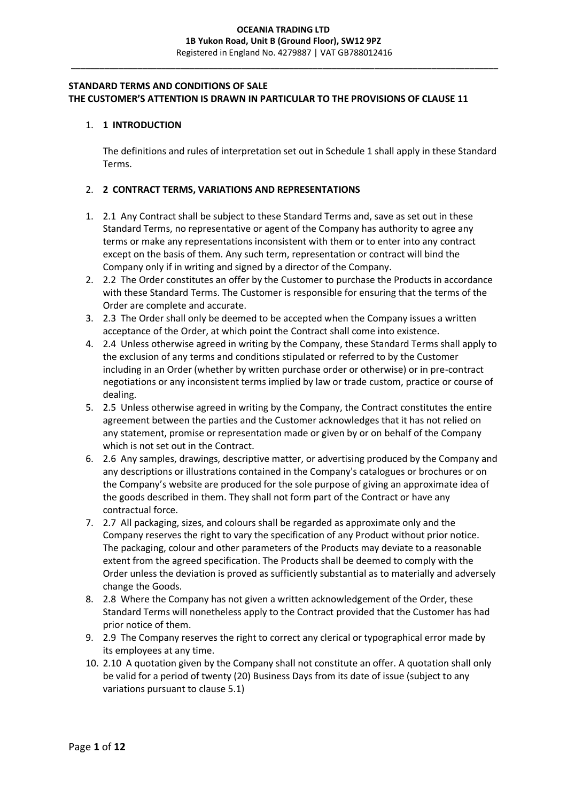### **STANDARD TERMS AND CONDITIONS OF SALE THE CUSTOMER'S ATTENTION IS DRAWN IN PARTICULAR TO THE PROVISIONS OF CLAUSE 11**

### 1. **1 INTRODUCTION**

The definitions and rules of interpretation set out in Schedule 1 shall apply in these Standard Terms.

### 2. **2 CONTRACT TERMS, VARIATIONS AND REPRESENTATIONS**

- 1. 2.1 Any Contract shall be subject to these Standard Terms and, save as set out in these Standard Terms, no representative or agent of the Company has authority to agree any terms or make any representations inconsistent with them or to enter into any contract except on the basis of them. Any such term, representation or contract will bind the Company only if in writing and signed by a director of the Company.
- 2. 2.2 The Order constitutes an offer by the Customer to purchase the Products in accordance with these Standard Terms. The Customer is responsible for ensuring that the terms of the Order are complete and accurate.
- 3. 2.3 The Order shall only be deemed to be accepted when the Company issues a written acceptance of the Order, at which point the Contract shall come into existence.
- 4. 2.4 Unless otherwise agreed in writing by the Company, these Standard Terms shall apply to the exclusion of any terms and conditions stipulated or referred to by the Customer including in an Order (whether by written purchase order or otherwise) or in pre-contract negotiations or any inconsistent terms implied by law or trade custom, practice or course of dealing.
- 5. 2.5 Unless otherwise agreed in writing by the Company, the Contract constitutes the entire agreement between the parties and the Customer acknowledges that it has not relied on any statement, promise or representation made or given by or on behalf of the Company which is not set out in the Contract.
- 6. 2.6 Any samples, drawings, descriptive matter, or advertising produced by the Company and any descriptions or illustrations contained in the Company's catalogues or brochures or on the Company's website are produced for the sole purpose of giving an approximate idea of the goods described in them. They shall not form part of the Contract or have any contractual force.
- 7. 2.7 All packaging, sizes, and colours shall be regarded as approximate only and the Company reserves the right to vary the specification of any Product without prior notice. The packaging, colour and other parameters of the Products may deviate to a reasonable extent from the agreed specification. The Products shall be deemed to comply with the Order unless the deviation is proved as sufficiently substantial as to materially and adversely change the Goods.
- 8. 2.8 Where the Company has not given a written acknowledgement of the Order, these Standard Terms will nonetheless apply to the Contract provided that the Customer has had prior notice of them.
- 9. 2.9 The Company reserves the right to correct any clerical or typographical error made by its employees at any time.
- 10. 2.10 A quotation given by the Company shall not constitute an offer. A quotation shall only be valid for a period of twenty (20) Business Days from its date of issue (subject to any variations pursuant to clause 5.1)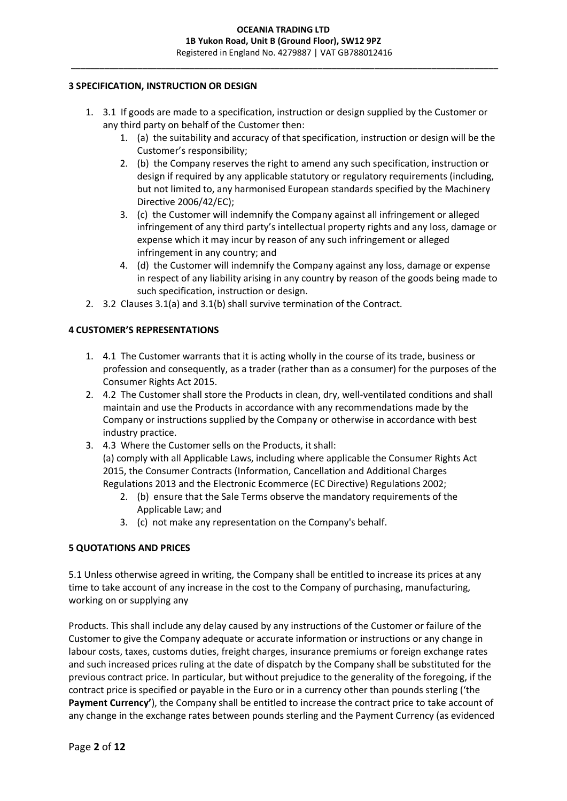## **3 SPECIFICATION, INSTRUCTION OR DESIGN**

- 1. 3.1 If goods are made to a specification, instruction or design supplied by the Customer or any third party on behalf of the Customer then:
	- 1. (a) the suitability and accuracy of that specification, instruction or design will be the Customer's responsibility;
	- 2. (b) the Company reserves the right to amend any such specification, instruction or design if required by any applicable statutory or regulatory requirements (including, but not limited to, any harmonised European standards specified by the Machinery Directive 2006/42/EC);
	- 3. (c) the Customer will indemnify the Company against all infringement or alleged infringement of any third party's intellectual property rights and any loss, damage or expense which it may incur by reason of any such infringement or alleged infringement in any country; and
	- 4. (d) the Customer will indemnify the Company against any loss, damage or expense in respect of any liability arising in any country by reason of the goods being made to such specification, instruction or design.
- 2. 3.2 Clauses 3.1(a) and 3.1(b) shall survive termination of the Contract.

## **4 CUSTOMER'S REPRESENTATIONS**

- 1. 4.1 The Customer warrants that it is acting wholly in the course of its trade, business or profession and consequently, as a trader (rather than as a consumer) for the purposes of the Consumer Rights Act 2015.
- 2. 4.2 The Customer shall store the Products in clean, dry, well-ventilated conditions and shall maintain and use the Products in accordance with any recommendations made by the Company or instructions supplied by the Company or otherwise in accordance with best industry practice.
- 3. 4.3 Where the Customer sells on the Products, it shall: (a) comply with all Applicable Laws, including where applicable the Consumer Rights Act 2015, the Consumer Contracts (Information, Cancellation and Additional Charges Regulations 2013 and the Electronic Ecommerce (EC Directive) Regulations 2002;
	- 2. (b) ensure that the Sale Terms observe the mandatory requirements of the Applicable Law; and
	- 3. (c) not make any representation on the Company's behalf.

# **5 QUOTATIONS AND PRICES**

5.1 Unless otherwise agreed in writing, the Company shall be entitled to increase its prices at any time to take account of any increase in the cost to the Company of purchasing, manufacturing, working on or supplying any

Products. This shall include any delay caused by any instructions of the Customer or failure of the Customer to give the Company adequate or accurate information or instructions or any change in labour costs, taxes, customs duties, freight charges, insurance premiums or foreign exchange rates and such increased prices ruling at the date of dispatch by the Company shall be substituted for the previous contract price. In particular, but without prejudice to the generality of the foregoing, if the contract price is specified or payable in the Euro or in a currency other than pounds sterling ('the **Payment Currency'**), the Company shall be entitled to increase the contract price to take account of any change in the exchange rates between pounds sterling and the Payment Currency (as evidenced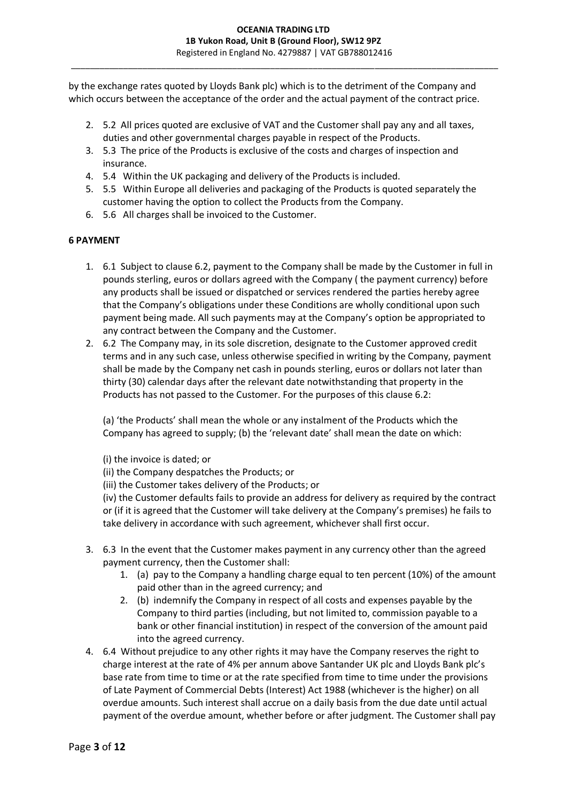by the exchange rates quoted by Lloyds Bank plc) which is to the detriment of the Company and which occurs between the acceptance of the order and the actual payment of the contract price.

- 2. 5.2 All prices quoted are exclusive of VAT and the Customer shall pay any and all taxes, duties and other governmental charges payable in respect of the Products.
- 3. 5.3 The price of the Products is exclusive of the costs and charges of inspection and insurance.
- 4. 5.4 Within the UK packaging and delivery of the Products is included.
- 5. 5.5 Within Europe all deliveries and packaging of the Products is quoted separately the customer having the option to collect the Products from the Company.
- 6. 5.6 All charges shall be invoiced to the Customer.

### **6 PAYMENT**

- 1. 6.1 Subject to clause 6.2, payment to the Company shall be made by the Customer in full in pounds sterling, euros or dollars agreed with the Company ( the payment currency) before any products shall be issued or dispatched or services rendered the parties hereby agree that the Company's obligations under these Conditions are wholly conditional upon such payment being made. All such payments may at the Company's option be appropriated to any contract between the Company and the Customer.
- 2. 6.2 The Company may, in its sole discretion, designate to the Customer approved credit terms and in any such case, unless otherwise specified in writing by the Company, payment shall be made by the Company net cash in pounds sterling, euros or dollars not later than thirty (30) calendar days after the relevant date notwithstanding that property in the Products has not passed to the Customer. For the purposes of this clause 6.2:

(a) 'the Products' shall mean the whole or any instalment of the Products which the Company has agreed to supply; (b) the 'relevant date' shall mean the date on which:

(i) the invoice is dated; or

(ii) the Company despatches the Products; or

(iii) the Customer takes delivery of the Products; or

(iv) the Customer defaults fails to provide an address for delivery as required by the contract or (if it is agreed that the Customer will take delivery at the Company's premises) he fails to take delivery in accordance with such agreement, whichever shall first occur.

- 3. 6.3 In the event that the Customer makes payment in any currency other than the agreed payment currency, then the Customer shall:
	- 1. (a) pay to the Company a handling charge equal to ten percent (10%) of the amount paid other than in the agreed currency; and
	- 2. (b) indemnify the Company in respect of all costs and expenses payable by the Company to third parties (including, but not limited to, commission payable to a bank or other financial institution) in respect of the conversion of the amount paid into the agreed currency.
- 4. 6.4 Without prejudice to any other rights it may have the Company reserves the right to charge interest at the rate of 4% per annum above Santander UK plc and Lloyds Bank plc's base rate from time to time or at the rate specified from time to time under the provisions of Late Payment of Commercial Debts (Interest) Act 1988 (whichever is the higher) on all overdue amounts. Such interest shall accrue on a daily basis from the due date until actual payment of the overdue amount, whether before or after judgment. The Customer shall pay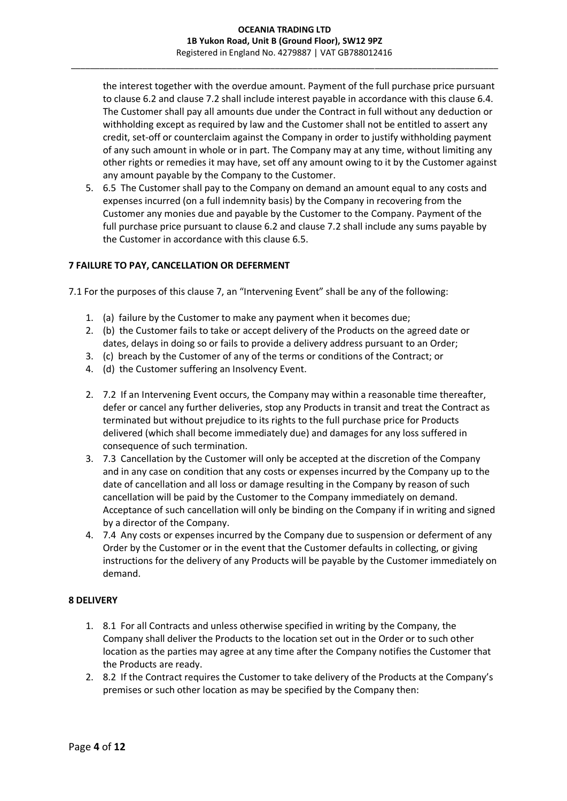the interest together with the overdue amount. Payment of the full purchase price pursuant to clause 6.2 and clause 7.2 shall include interest payable in accordance with this clause 6.4. The Customer shall pay all amounts due under the Contract in full without any deduction or withholding except as required by law and the Customer shall not be entitled to assert any credit, set-off or counterclaim against the Company in order to justify withholding payment of any such amount in whole or in part. The Company may at any time, without limiting any other rights or remedies it may have, set off any amount owing to it by the Customer against any amount payable by the Company to the Customer.

5. 6.5 The Customer shall pay to the Company on demand an amount equal to any costs and expenses incurred (on a full indemnity basis) by the Company in recovering from the Customer any monies due and payable by the Customer to the Company. Payment of the full purchase price pursuant to clause 6.2 and clause 7.2 shall include any sums payable by the Customer in accordance with this clause 6.5.

## **7 FAILURE TO PAY, CANCELLATION OR DEFERMENT**

7.1 For the purposes of this clause 7, an "Intervening Event" shall be any of the following:

- 1. (a) failure by the Customer to make any payment when it becomes due;
- 2. (b) the Customer fails to take or accept delivery of the Products on the agreed date or dates, delays in doing so or fails to provide a delivery address pursuant to an Order;
- 3. (c) breach by the Customer of any of the terms or conditions of the Contract; or
- 4. (d) the Customer suffering an Insolvency Event.
- 2. 7.2 If an Intervening Event occurs, the Company may within a reasonable time thereafter, defer or cancel any further deliveries, stop any Products in transit and treat the Contract as terminated but without prejudice to its rights to the full purchase price for Products delivered (which shall become immediately due) and damages for any loss suffered in consequence of such termination.
- 3. 7.3 Cancellation by the Customer will only be accepted at the discretion of the Company and in any case on condition that any costs or expenses incurred by the Company up to the date of cancellation and all loss or damage resulting in the Company by reason of such cancellation will be paid by the Customer to the Company immediately on demand. Acceptance of such cancellation will only be binding on the Company if in writing and signed by a director of the Company.
- 4. 7.4 Any costs or expenses incurred by the Company due to suspension or deferment of any Order by the Customer or in the event that the Customer defaults in collecting, or giving instructions for the delivery of any Products will be payable by the Customer immediately on demand.

## **8 DELIVERY**

- 1. 8.1 For all Contracts and unless otherwise specified in writing by the Company, the Company shall deliver the Products to the location set out in the Order or to such other location as the parties may agree at any time after the Company notifies the Customer that the Products are ready.
- 2. 8.2 If the Contract requires the Customer to take delivery of the Products at the Company's premises or such other location as may be specified by the Company then: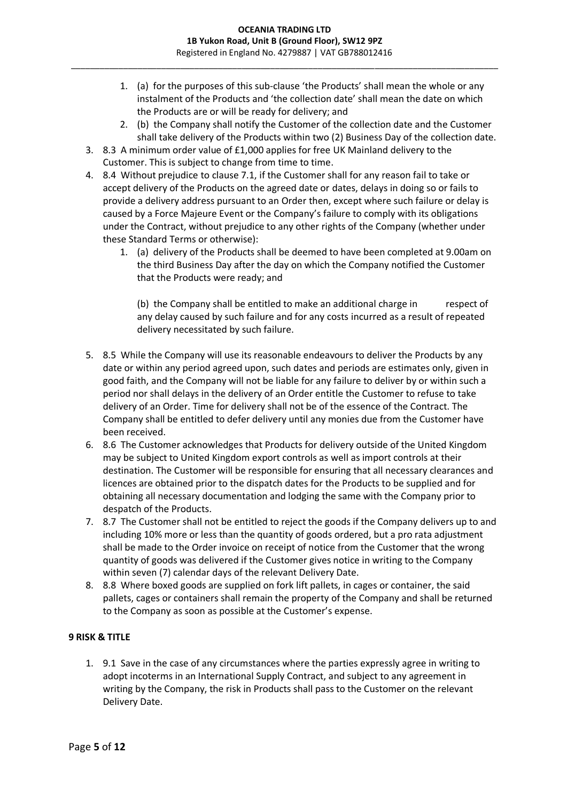- 1. (a) for the purposes of this sub-clause 'the Products' shall mean the whole or any instalment of the Products and 'the collection date' shall mean the date on which the Products are or will be ready for delivery; and
- 2. (b) the Company shall notify the Customer of the collection date and the Customer shall take delivery of the Products within two (2) Business Day of the collection date.
- 3. 8.3 A minimum order value of £1,000 applies for free UK Mainland delivery to the Customer. This is subject to change from time to time.
- 4. 8.4 Without prejudice to clause 7.1, if the Customer shall for any reason fail to take or accept delivery of the Products on the agreed date or dates, delays in doing so or fails to provide a delivery address pursuant to an Order then, except where such failure or delay is caused by a Force Majeure Event or the Company's failure to comply with its obligations under the Contract, without prejudice to any other rights of the Company (whether under these Standard Terms or otherwise):
	- 1. (a) delivery of the Products shall be deemed to have been completed at 9.00am on the third Business Day after the day on which the Company notified the Customer that the Products were ready; and

(b) the Company shall be entitled to make an additional charge in respect of any delay caused by such failure and for any costs incurred as a result of repeated delivery necessitated by such failure.

- 5. 8.5 While the Company will use its reasonable endeavours to deliver the Products by any date or within any period agreed upon, such dates and periods are estimates only, given in good faith, and the Company will not be liable for any failure to deliver by or within such a period nor shall delays in the delivery of an Order entitle the Customer to refuse to take delivery of an Order. Time for delivery shall not be of the essence of the Contract. The Company shall be entitled to defer delivery until any monies due from the Customer have been received.
- 6. 8.6 The Customer acknowledges that Products for delivery outside of the United Kingdom may be subject to United Kingdom export controls as well as import controls at their destination. The Customer will be responsible for ensuring that all necessary clearances and licences are obtained prior to the dispatch dates for the Products to be supplied and for obtaining all necessary documentation and lodging the same with the Company prior to despatch of the Products.
- 7. 8.7 The Customer shall not be entitled to reject the goods if the Company delivers up to and including 10% more or less than the quantity of goods ordered, but a pro rata adjustment shall be made to the Order invoice on receipt of notice from the Customer that the wrong quantity of goods was delivered if the Customer gives notice in writing to the Company within seven (7) calendar days of the relevant Delivery Date.
- 8. 8.8 Where boxed goods are supplied on fork lift pallets, in cages or container, the said pallets, cages or containers shall remain the property of the Company and shall be returned to the Company as soon as possible at the Customer's expense.

# **9 RISK & TITLE**

1. 9.1 Save in the case of any circumstances where the parties expressly agree in writing to adopt incoterms in an International Supply Contract, and subject to any agreement in writing by the Company, the risk in Products shall pass to the Customer on the relevant Delivery Date.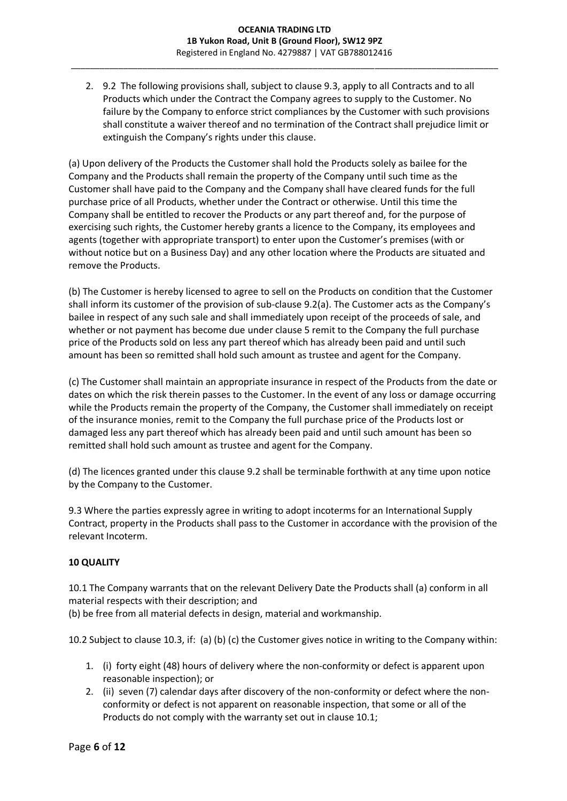2. 9.2 The following provisions shall, subject to clause 9.3, apply to all Contracts and to all Products which under the Contract the Company agrees to supply to the Customer. No failure by the Company to enforce strict compliances by the Customer with such provisions shall constitute a waiver thereof and no termination of the Contract shall prejudice limit or extinguish the Company's rights under this clause.

(a) Upon delivery of the Products the Customer shall hold the Products solely as bailee for the Company and the Products shall remain the property of the Company until such time as the Customer shall have paid to the Company and the Company shall have cleared funds for the full purchase price of all Products, whether under the Contract or otherwise. Until this time the Company shall be entitled to recover the Products or any part thereof and, for the purpose of exercising such rights, the Customer hereby grants a licence to the Company, its employees and agents (together with appropriate transport) to enter upon the Customer's premises (with or without notice but on a Business Day) and any other location where the Products are situated and remove the Products.

(b) The Customer is hereby licensed to agree to sell on the Products on condition that the Customer shall inform its customer of the provision of sub-clause 9.2(a). The Customer acts as the Company's bailee in respect of any such sale and shall immediately upon receipt of the proceeds of sale, and whether or not payment has become due under clause 5 remit to the Company the full purchase price of the Products sold on less any part thereof which has already been paid and until such amount has been so remitted shall hold such amount as trustee and agent for the Company.

(c) The Customer shall maintain an appropriate insurance in respect of the Products from the date or dates on which the risk therein passes to the Customer. In the event of any loss or damage occurring while the Products remain the property of the Company, the Customer shall immediately on receipt of the insurance monies, remit to the Company the full purchase price of the Products lost or damaged less any part thereof which has already been paid and until such amount has been so remitted shall hold such amount as trustee and agent for the Company.

(d) The licences granted under this clause 9.2 shall be terminable forthwith at any time upon notice by the Company to the Customer.

9.3 Where the parties expressly agree in writing to adopt incoterms for an International Supply Contract, property in the Products shall pass to the Customer in accordance with the provision of the relevant Incoterm.

# **10 QUALITY**

10.1 The Company warrants that on the relevant Delivery Date the Products shall (a) conform in all material respects with their description; and

(b) be free from all material defects in design, material and workmanship.

10.2 Subject to clause 10.3, if: (a) (b) (c) the Customer gives notice in writing to the Company within:

- 1. (i) forty eight (48) hours of delivery where the non-conformity or defect is apparent upon reasonable inspection); or
- 2. (ii) seven (7) calendar days after discovery of the non-conformity or defect where the nonconformity or defect is not apparent on reasonable inspection, that some or all of the Products do not comply with the warranty set out in clause 10.1;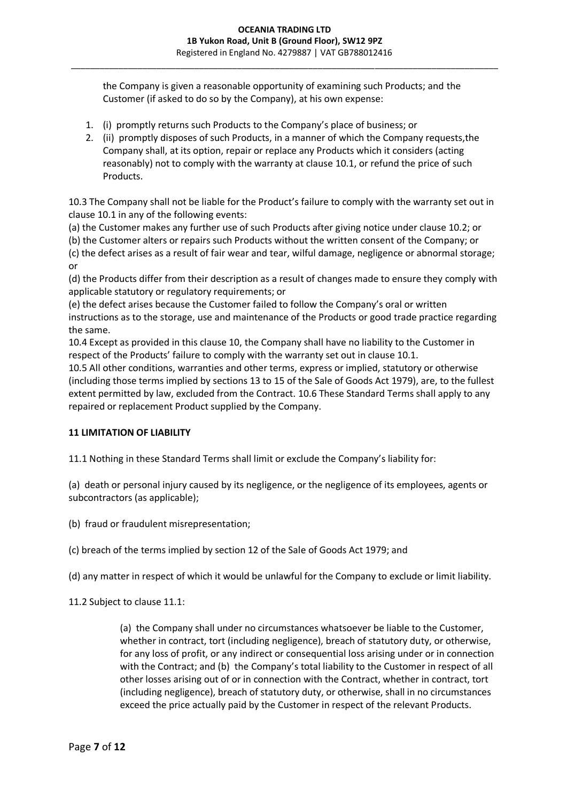the Company is given a reasonable opportunity of examining such Products; and the Customer (if asked to do so by the Company), at his own expense:

- 1. (i) promptly returns such Products to the Company's place of business; or
- 2. (ii) promptly disposes of such Products, in a manner of which the Company requests,the Company shall, at its option, repair or replace any Products which it considers (acting reasonably) not to comply with the warranty at clause 10.1, or refund the price of such Products.

10.3 The Company shall not be liable for the Product's failure to comply with the warranty set out in clause 10.1 in any of the following events:

(a) the Customer makes any further use of such Products after giving notice under clause 10.2; or

(b) the Customer alters or repairs such Products without the written consent of the Company; or

(c) the defect arises as a result of fair wear and tear, wilful damage, negligence or abnormal storage; or

(d) the Products differ from their description as a result of changes made to ensure they comply with applicable statutory or regulatory requirements; or

(e) the defect arises because the Customer failed to follow the Company's oral or written instructions as to the storage, use and maintenance of the Products or good trade practice regarding the same.

10.4 Except as provided in this clause 10, the Company shall have no liability to the Customer in respect of the Products' failure to comply with the warranty set out in clause 10.1.

10.5 All other conditions, warranties and other terms, express or implied, statutory or otherwise (including those terms implied by sections 13 to 15 of the Sale of Goods Act 1979), are, to the fullest extent permitted by law, excluded from the Contract. 10.6 These Standard Terms shall apply to any repaired or replacement Product supplied by the Company.

# **11 LIMITATION OF LIABILITY**

11.1 Nothing in these Standard Terms shall limit or exclude the Company's liability for:

(a) death or personal injury caused by its negligence, or the negligence of its employees, agents or subcontractors (as applicable);

(b) fraud or fraudulent misrepresentation;

(c) breach of the terms implied by section 12 of the Sale of Goods Act 1979; and

(d) any matter in respect of which it would be unlawful for the Company to exclude or limit liability.

11.2 Subject to clause 11.1:

(a) the Company shall under no circumstances whatsoever be liable to the Customer, whether in contract, tort (including negligence), breach of statutory duty, or otherwise, for any loss of profit, or any indirect or consequential loss arising under or in connection with the Contract; and (b) the Company's total liability to the Customer in respect of all other losses arising out of or in connection with the Contract, whether in contract, tort (including negligence), breach of statutory duty, or otherwise, shall in no circumstances exceed the price actually paid by the Customer in respect of the relevant Products.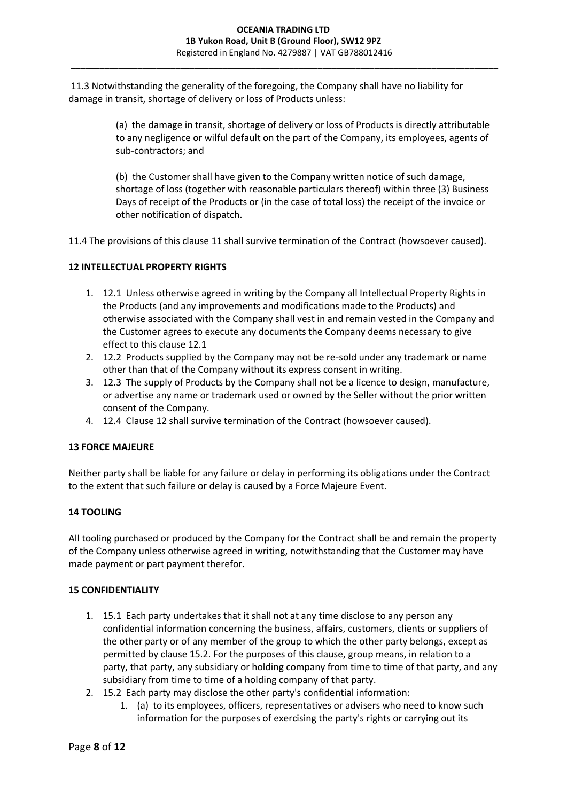11.3 Notwithstanding the generality of the foregoing, the Company shall have no liability for damage in transit, shortage of delivery or loss of Products unless:

> (a) the damage in transit, shortage of delivery or loss of Products is directly attributable to any negligence or wilful default on the part of the Company, its employees, agents of sub-contractors; and

> (b) the Customer shall have given to the Company written notice of such damage, shortage of loss (together with reasonable particulars thereof) within three (3) Business Days of receipt of the Products or (in the case of total loss) the receipt of the invoice or other notification of dispatch.

11.4 The provisions of this clause 11 shall survive termination of the Contract (howsoever caused).

## **12 INTELLECTUAL PROPERTY RIGHTS**

- 1. 12.1 Unless otherwise agreed in writing by the Company all Intellectual Property Rights in the Products (and any improvements and modifications made to the Products) and otherwise associated with the Company shall vest in and remain vested in the Company and the Customer agrees to execute any documents the Company deems necessary to give effect to this clause 12.1
- 2. 12.2 Products supplied by the Company may not be re-sold under any trademark or name other than that of the Company without its express consent in writing.
- 3. 12.3 The supply of Products by the Company shall not be a licence to design, manufacture, or advertise any name or trademark used or owned by the Seller without the prior written consent of the Company.
- 4. 12.4 Clause 12 shall survive termination of the Contract (howsoever caused).

### **13 FORCE MAJEURE**

Neither party shall be liable for any failure or delay in performing its obligations under the Contract to the extent that such failure or delay is caused by a Force Majeure Event.

# **14 TOOLING**

All tooling purchased or produced by the Company for the Contract shall be and remain the property of the Company unless otherwise agreed in writing, notwithstanding that the Customer may have made payment or part payment therefor.

### **15 CONFIDENTIALITY**

- 1. 15.1 Each party undertakes that it shall not at any time disclose to any person any confidential information concerning the business, affairs, customers, clients or suppliers of the other party or of any member of the group to which the other party belongs, except as permitted by clause 15.2. For the purposes of this clause, group means, in relation to a party, that party, any subsidiary or holding company from time to time of that party, and any subsidiary from time to time of a holding company of that party.
- 2. 15.2 Each party may disclose the other party's confidential information:
	- 1. (a) to its employees, officers, representatives or advisers who need to know such information for the purposes of exercising the party's rights or carrying out its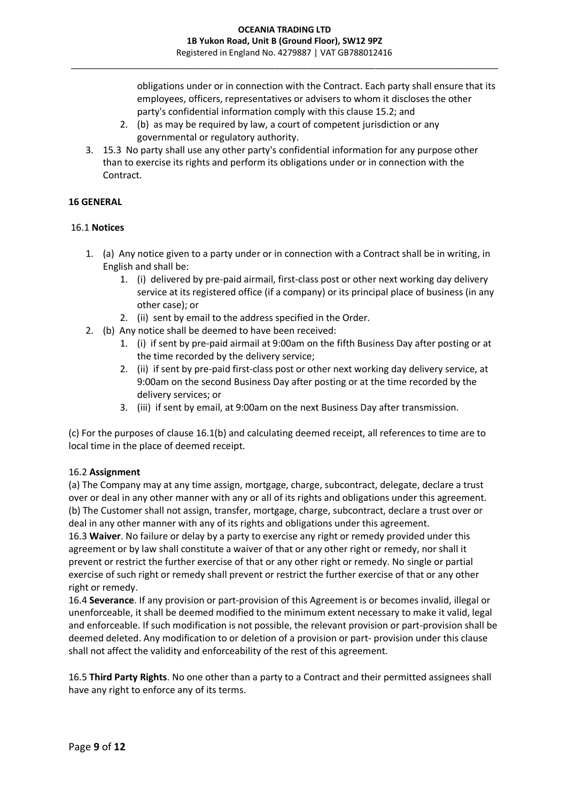obligations under or in connection with the Contract. Each party shall ensure that its employees, officers, representatives or advisers to whom it discloses the other party's confidential information comply with this clause 15.2; and

- 2. (b) as may be required by law, a court of competent jurisdiction or any governmental or regulatory authority.
- 3. 15.3 No party shall use any other party's confidential information for any purpose other than to exercise its rights and perform its obligations under or in connection with the Contract.

## **16 GENERAL**

### 16.1 **Notices**

- 1. (a) Any notice given to a party under or in connection with a Contract shall be in writing, in English and shall be:
	- 1. (i) delivered by pre-paid airmail, first-class post or other next working day delivery service at its registered office (if a company) or its principal place of business (in any other case); or
	- 2. (ii) sent by email to the address specified in the Order.
- 2. (b) Any notice shall be deemed to have been received:
	- 1. (i) if sent by pre-paid airmail at 9:00am on the fifth Business Day after posting or at the time recorded by the delivery service;
	- 2. (ii) if sent by pre-paid first-class post or other next working day delivery service, at 9:00am on the second Business Day after posting or at the time recorded by the delivery services; or
	- 3. (iii) if sent by email, at 9:00am on the next Business Day after transmission.

(c) For the purposes of clause 16.1(b) and calculating deemed receipt, all references to time are to local time in the place of deemed receipt.

### 16.2 **Assignment**

(a) The Company may at any time assign, mortgage, charge, subcontract, delegate, declare a trust over or deal in any other manner with any or all of its rights and obligations under this agreement. (b) The Customer shall not assign, transfer, mortgage, charge, subcontract, declare a trust over or deal in any other manner with any of its rights and obligations under this agreement.

16.3 **Waiver**. No failure or delay by a party to exercise any right or remedy provided under this agreement or by law shall constitute a waiver of that or any other right or remedy, nor shall it prevent or restrict the further exercise of that or any other right or remedy. No single or partial exercise of such right or remedy shall prevent or restrict the further exercise of that or any other right or remedy.

16.4 **Severance**. If any provision or part-provision of this Agreement is or becomes invalid, illegal or unenforceable, it shall be deemed modified to the minimum extent necessary to make it valid, legal and enforceable. If such modification is not possible, the relevant provision or part-provision shall be deemed deleted. Any modification to or deletion of a provision or part- provision under this clause shall not affect the validity and enforceability of the rest of this agreement.

16.5 **Third Party Rights**. No one other than a party to a Contract and their permitted assignees shall have any right to enforce any of its terms.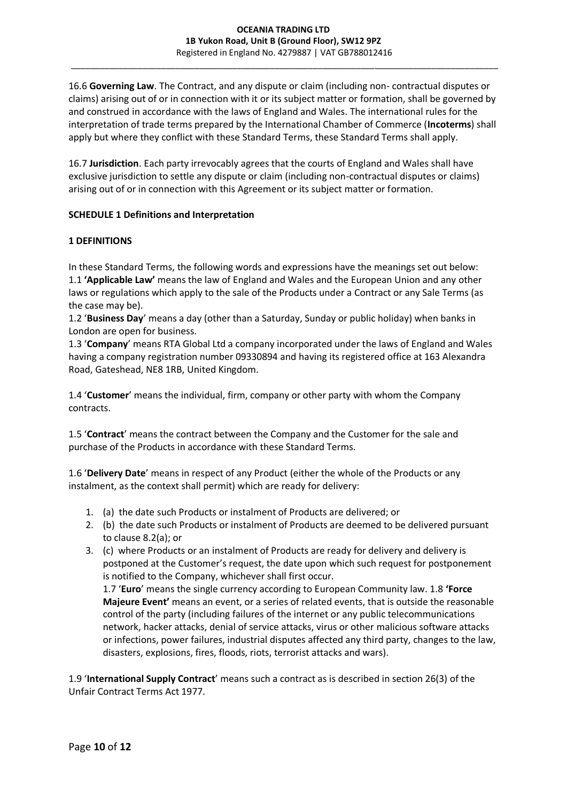16.6 **Governing Law**. The Contract, and any dispute or claim (including non- contractual disputes or claims) arising out of or in connection with it or its subject matter or formation, shall be governed by and construed in accordance with the laws of England and Wales. The international rules for the interpretation of trade terms prepared by the International Chamber of Commerce (**Incoterms**) shall apply but where they conflict with these Standard Terms, these Standard Terms shall apply.

16.7 **Jurisdiction**. Each party irrevocably agrees that the courts of England and Wales shall have exclusive jurisdiction to settle any dispute or claim (including non-contractual disputes or claims) arising out of or in connection with this Agreement or its subject matter or formation.

### **SCHEDULE 1 Definitions and Interpretation**

## **1 DEFINITIONS**

In these Standard Terms, the following words and expressions have the meanings set out below: 1.1 **'Applicable Law'** means the law of England and Wales and the European Union and any other laws or regulations which apply to the sale of the Products under a Contract or any Sale Terms (as the case may be).

1.2 '**Business Day**' means a day (other than a Saturday, Sunday or public holiday) when banks in London are open for business.

1.3 '**Company**' means RTA Global Ltd a company incorporated under the laws of England and Wales having a company registration number 09330894 and having its registered office at 163 Alexandra Road, Gateshead, NE8 1RB, United Kingdom.

1.4 '**Customer**' means the individual, firm, company or other party with whom the Company contracts.

1.5 '**Contract**' means the contract between the Company and the Customer for the sale and purchase of the Products in accordance with these Standard Terms.

1.6 '**Delivery Date**' means in respect of any Product (either the whole of the Products or any instalment, as the context shall permit) which are ready for delivery:

- 1. (a) the date such Products or instalment of Products are delivered; or
- 2. (b) the date such Products or instalment of Products are deemed to be delivered pursuant to clause 8.2(a); or
- 3. (c) where Products or an instalment of Products are ready for delivery and delivery is postponed at the Customer's request, the date upon which such request for postponement is notified to the Company, whichever shall first occur. 1.7 '**Euro**' means the single currency according to European Community law. 1.8 **'Force**

**Majeure Event'** means an event, or a series of related events, that is outside the reasonable control of the party (including failures of the internet or any public telecommunications network, hacker attacks, denial of service attacks, virus or other malicious software attacks or infections, power failures, industrial disputes affected any third party, changes to the law, disasters, explosions, fires, floods, riots, terrorist attacks and wars).

1.9 '**International Supply Contract**' means such a contract as is described in section 26(3) of the Unfair Contract Terms Act 1977.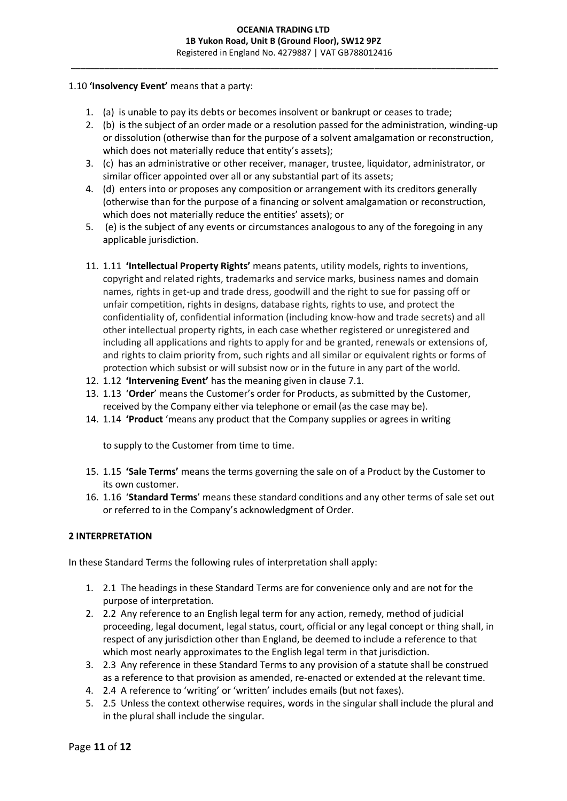## 1.10 **'Insolvency Event'** means that a party:

- 1. (a) is unable to pay its debts or becomes insolvent or bankrupt or ceases to trade;
- 2. (b) is the subject of an order made or a resolution passed for the administration, winding-up or dissolution (otherwise than for the purpose of a solvent amalgamation or reconstruction, which does not materially reduce that entity's assets);
- 3. (c) has an administrative or other receiver, manager, trustee, liquidator, administrator, or similar officer appointed over all or any substantial part of its assets;
- 4. (d) enters into or proposes any composition or arrangement with its creditors generally (otherwise than for the purpose of a financing or solvent amalgamation or reconstruction, which does not materially reduce the entities' assets); or
- 5. (e) is the subject of any events or circumstances analogous to any of the foregoing in any applicable jurisdiction.
- 11. 1.11 **'Intellectual Property Rights'** means patents, utility models, rights to inventions, copyright and related rights, trademarks and service marks, business names and domain names, rights in get-up and trade dress, goodwill and the right to sue for passing off or unfair competition, rights in designs, database rights, rights to use, and protect the confidentiality of, confidential information (including know-how and trade secrets) and all other intellectual property rights, in each case whether registered or unregistered and including all applications and rights to apply for and be granted, renewals or extensions of, and rights to claim priority from, such rights and all similar or equivalent rights or forms of protection which subsist or will subsist now or in the future in any part of the world.
- 12. 1.12 **'Intervening Event'** has the meaning given in clause 7.1.
- 13. 1.13 '**Order**' means the Customer's order for Products, as submitted by the Customer, received by the Company either via telephone or email (as the case may be).
- 14. 1.14 **'Product** 'means any product that the Company supplies or agrees in writing

to supply to the Customer from time to time.

- 15. 1.15 **'Sale Terms'** means the terms governing the sale on of a Product by the Customer to its own customer.
- 16. 1.16 '**Standard Terms**' means these standard conditions and any other terms of sale set out or referred to in the Company's acknowledgment of Order.

### **2 INTERPRETATION**

In these Standard Terms the following rules of interpretation shall apply:

- 1. 2.1 The headings in these Standard Terms are for convenience only and are not for the purpose of interpretation.
- 2. 2.2 Any reference to an English legal term for any action, remedy, method of judicial proceeding, legal document, legal status, court, official or any legal concept or thing shall, in respect of any jurisdiction other than England, be deemed to include a reference to that which most nearly approximates to the English legal term in that jurisdiction.
- 3. 2.3 Any reference in these Standard Terms to any provision of a statute shall be construed as a reference to that provision as amended, re-enacted or extended at the relevant time.
- 4. 2.4 A reference to 'writing' or 'written' includes emails (but not faxes).
- 5. 2.5 Unless the context otherwise requires, words in the singular shall include the plural and in the plural shall include the singular.